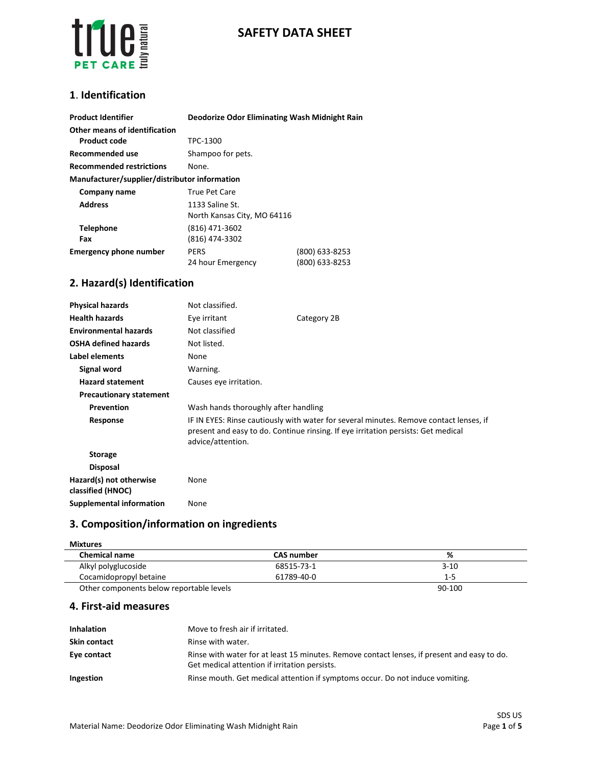

# **SAFETY DATA SHEET**

### **1**. **Identification**

| <b>Product Identifier</b>                     | Deodorize Odor Eliminating Wash Midnight Rain  |                                  |
|-----------------------------------------------|------------------------------------------------|----------------------------------|
| Other means of identification<br>Product code | TPC-1300                                       |                                  |
| Recommended use                               | Shampoo for pets.                              |                                  |
| <b>Recommended restrictions</b>               | None.                                          |                                  |
| Manufacturer/supplier/distributor information |                                                |                                  |
| Company name                                  | True Pet Care                                  |                                  |
| <b>Address</b>                                | 1133 Saline St.<br>North Kansas City, MO 64116 |                                  |
| <b>Telephone</b><br>Fax                       | (816) 471-3602<br>(816) 474-3302               |                                  |
| <b>Emergency phone number</b>                 | <b>PERS</b><br>24 hour Emergency               | (800) 633-8253<br>(800) 633-8253 |

## **2. Hazard(s) Identification**

| <b>Physical hazards</b>                      | Not classified.                                                                                                                                                                                  |             |
|----------------------------------------------|--------------------------------------------------------------------------------------------------------------------------------------------------------------------------------------------------|-------------|
| <b>Health hazards</b>                        | Eye irritant                                                                                                                                                                                     | Category 2B |
| <b>Environmental hazards</b>                 | Not classified                                                                                                                                                                                   |             |
| <b>OSHA defined hazards</b>                  | Not listed.                                                                                                                                                                                      |             |
| Label elements                               | None                                                                                                                                                                                             |             |
| Signal word                                  | Warning.                                                                                                                                                                                         |             |
| <b>Hazard statement</b>                      | Causes eye irritation.                                                                                                                                                                           |             |
| <b>Precautionary statement</b>               |                                                                                                                                                                                                  |             |
| Prevention                                   | Wash hands thoroughly after handling                                                                                                                                                             |             |
| Response                                     | IF IN EYES: Rinse cautiously with water for several minutes. Remove contact lenses, if<br>present and easy to do. Continue rinsing. If eye irritation persists: Get medical<br>advice/attention. |             |
| <b>Storage</b>                               |                                                                                                                                                                                                  |             |
| <b>Disposal</b>                              |                                                                                                                                                                                                  |             |
| Hazard(s) not otherwise<br>classified (HNOC) | None                                                                                                                                                                                             |             |
| Supplemental information                     | None                                                                                                                                                                                             |             |

# **3. Composition/information on ingredients**

| <b>Mixtures</b>                          |                   |          |
|------------------------------------------|-------------------|----------|
| <b>Chemical name</b>                     | <b>CAS number</b> | %        |
| Alkyl polyglucoside                      | 68515-73-1        | $3 - 10$ |
| Cocamidopropyl betaine                   | 61789-40-0        | $1 - 5$  |
| Other components below reportable levels |                   | 90-100   |

**4. First-aid measures**

| <b>Inhalation</b>   | Move to fresh air if irritated.                                                                                                              |
|---------------------|----------------------------------------------------------------------------------------------------------------------------------------------|
| <b>Skin contact</b> | Rinse with water.                                                                                                                            |
| Eye contact         | Rinse with water for at least 15 minutes. Remove contact lenses, if present and easy to do.<br>Get medical attention if irritation persists. |
| Ingestion           | Rinse mouth. Get medical attention if symptoms occur. Do not induce vomiting.                                                                |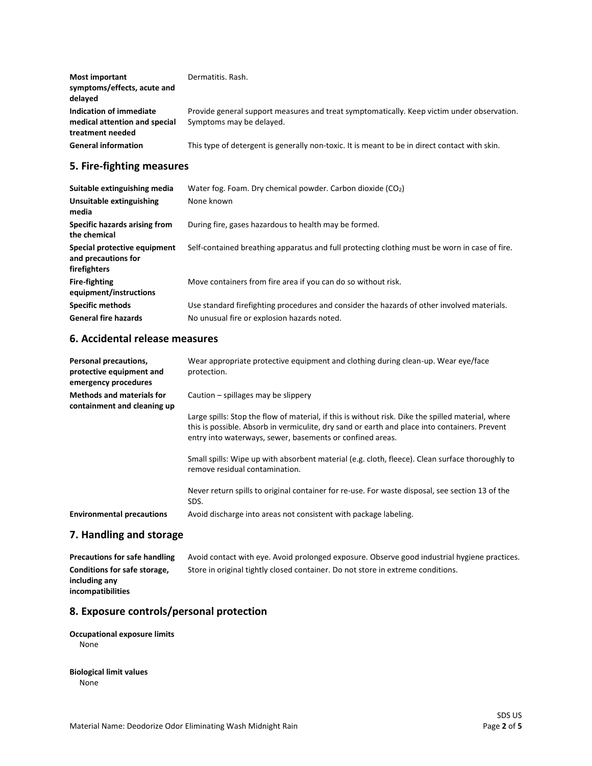| Most important<br>symptoms/effects, acute and<br>delayed                     | Dermatitis, Rash.                                                                                                      |
|------------------------------------------------------------------------------|------------------------------------------------------------------------------------------------------------------------|
| Indication of immediate<br>medical attention and special<br>treatment needed | Provide general support measures and treat symptomatically. Keep victim under observation.<br>Symptoms may be delayed. |
| <b>General information</b>                                                   | This type of detergent is generally non-toxic. It is meant to be in direct contact with skin.                          |

## **5. Fire-fighting measures**

| Suitable extinguishing media                                        | Water fog. Foam. Dry chemical powder. Carbon dioxide (CO2)                                                                                |
|---------------------------------------------------------------------|-------------------------------------------------------------------------------------------------------------------------------------------|
| Unsuitable extinguishing<br>media                                   | None known                                                                                                                                |
| Specific hazards arising from<br>the chemical                       | During fire, gases hazardous to health may be formed.                                                                                     |
| Special protective equipment<br>and precautions for<br>firefighters | Self-contained breathing apparatus and full protecting clothing must be worn in case of fire.                                             |
| <b>Fire-fighting</b><br>equipment/instructions                      | Move containers from fire area if you can do so without risk.                                                                             |
| <b>Specific methods</b><br><b>General fire hazards</b>              | Use standard firefighting procedures and consider the hazards of other involved materials.<br>No unusual fire or explosion hazards noted. |

## **6. Accidental release measures**

| Personal precautions,<br>protective equipment and<br>emergency procedures | Wear appropriate protective equipment and clothing during clean-up. Wear eye/face<br>protection.                                                                                                                                                                 |
|---------------------------------------------------------------------------|------------------------------------------------------------------------------------------------------------------------------------------------------------------------------------------------------------------------------------------------------------------|
| <b>Methods and materials for</b><br>containment and cleaning up           | Caution $-$ spillages may be slippery                                                                                                                                                                                                                            |
|                                                                           | Large spills: Stop the flow of material, if this is without risk. Dike the spilled material, where<br>this is possible. Absorb in vermiculite, dry sand or earth and place into containers. Prevent<br>entry into waterways, sewer, basements or confined areas. |
|                                                                           | Small spills: Wipe up with absorbent material (e.g. cloth, fleece). Clean surface thoroughly to<br>remove residual contamination.                                                                                                                                |
|                                                                           | Never return spills to original container for re-use. For waste disposal, see section 13 of the<br>SDS.                                                                                                                                                          |
| <b>Environmental precautions</b>                                          | Avoid discharge into areas not consistent with package labeling.                                                                                                                                                                                                 |

### **7. Handling and storage**

**Precautions for safe handling** Avoid contact with eye. Avoid prolonged exposure. Observe good industrial hygiene practices. **Conditions for safe storage, including any incompatibilities** Store in original tightly closed container. Do not store in extreme conditions.

### **8. Exposure controls/personal protection**

#### **Occupational exposure limits** None

## **Biological limit values**

None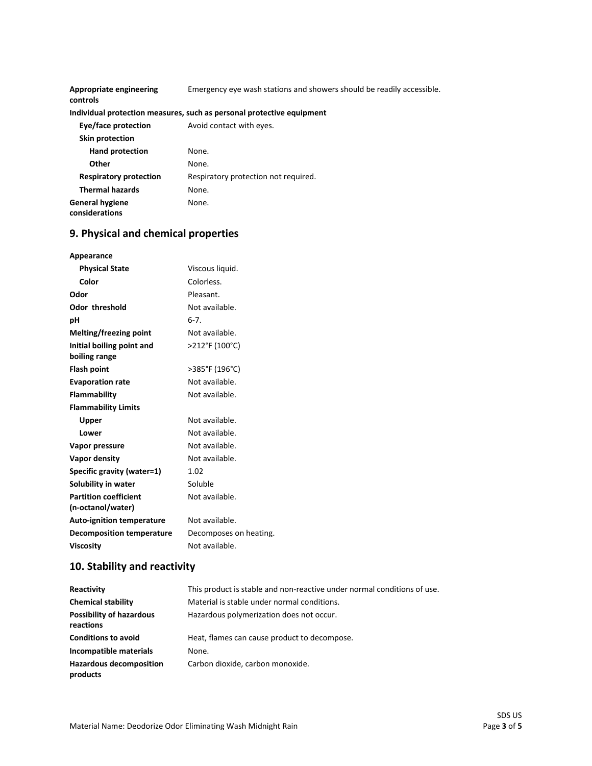| Appropriate engineering<br>controls      | Emergency eye wash stations and showers should be readily accessible. |
|------------------------------------------|-----------------------------------------------------------------------|
|                                          | Individual protection measures, such as personal protective equipment |
| Eye/face protection                      | Avoid contact with eyes.                                              |
| <b>Skin protection</b>                   |                                                                       |
| <b>Hand protection</b>                   | None.                                                                 |
| Other                                    | None.                                                                 |
| <b>Respiratory protection</b>            | Respiratory protection not required.                                  |
| <b>Thermal hazards</b>                   | None.                                                                 |
| <b>General hygiene</b><br>considerations | None.                                                                 |

# **9. Physical and chemical properties**

| Appearance                       |                        |
|----------------------------------|------------------------|
| <b>Physical State</b>            | Viscous liquid.        |
| Color                            | Colorless.             |
| Odor                             | Pleasant.              |
| <b>Odor threshold</b>            | Not available.         |
| рH                               | $6-7.$                 |
| Melting/freezing point           | Not available.         |
| Initial boiling point and        | >212°F (100°C)         |
| boiling range                    |                        |
| <b>Flash point</b>               | >385°F (196°C)         |
| <b>Evaporation rate</b>          | Not available.         |
| Flammability                     | Not available.         |
| <b>Flammability Limits</b>       |                        |
| Upper                            | Not available.         |
| Lower                            | Not available.         |
| Vapor pressure                   | Not available.         |
| Vapor density                    | Not available.         |
| Specific gravity (water=1)       | 1.02                   |
| Solubility in water              | Soluble                |
| <b>Partition coefficient</b>     | Not available.         |
| (n-octanol/water)                |                        |
| <b>Auto-ignition temperature</b> | Not available.         |
| <b>Decomposition temperature</b> | Decomposes on heating. |
| <b>Viscosity</b>                 | Not available.         |

# **10. Stability and reactivity**

| Reactivity                                   | This product is stable and non-reactive under normal conditions of use. |
|----------------------------------------------|-------------------------------------------------------------------------|
| <b>Chemical stability</b>                    | Material is stable under normal conditions.                             |
| <b>Possibility of hazardous</b><br>reactions | Hazardous polymerization does not occur.                                |
| <b>Conditions to avoid</b>                   | Heat, flames can cause product to decompose.                            |
| Incompatible materials                       | None.                                                                   |
| <b>Hazardous decomposition</b><br>products   | Carbon dioxide, carbon monoxide.                                        |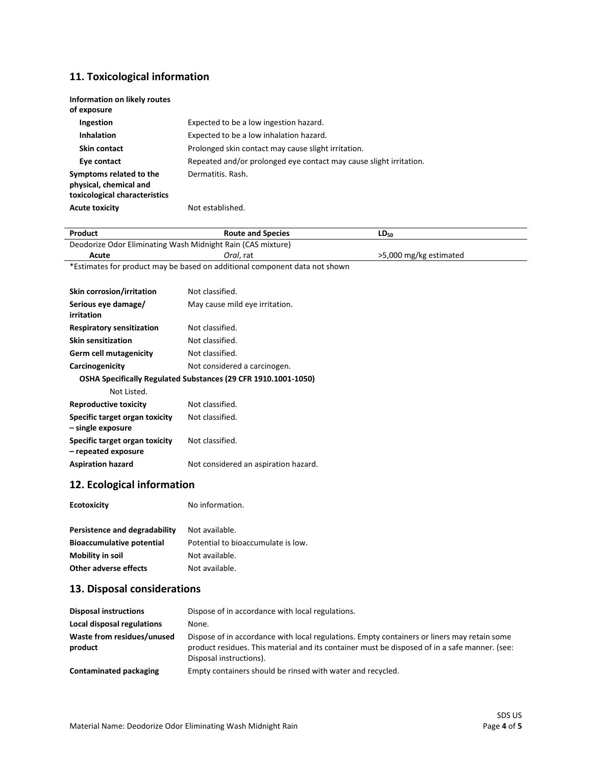# **11. Toxicological information**

| Information on likely routes<br>of exposure                                        |                                                                    |
|------------------------------------------------------------------------------------|--------------------------------------------------------------------|
| <b>Ingestion</b>                                                                   | Expected to be a low ingestion hazard.                             |
| <b>Inhalation</b>                                                                  | Expected to be a low inhalation hazard.                            |
| Skin contact                                                                       | Prolonged skin contact may cause slight irritation.                |
| Eye contact                                                                        | Repeated and/or prolonged eye contact may cause slight irritation. |
| Symptoms related to the<br>physical, chemical and<br>toxicological characteristics | Dermatitis, Rash.                                                  |
| <b>Acute toxicity</b>                                                              | Not established.                                                   |

| Product                                                        | <b>Route and Species</b>                                                   | $LD_{50}$              |  |
|----------------------------------------------------------------|----------------------------------------------------------------------------|------------------------|--|
| Deodorize Odor Eliminating Wash Midnight Rain (CAS mixture)    |                                                                            |                        |  |
| Acute                                                          | Oral, rat                                                                  | >5,000 mg/kg estimated |  |
|                                                                | *Estimates for product may be based on additional component data not shown |                        |  |
|                                                                |                                                                            |                        |  |
| Skin corrosion/irritation                                      | Not classified.                                                            |                        |  |
| Serious eye damage/                                            | May cause mild eye irritation.                                             |                        |  |
| irritation                                                     |                                                                            |                        |  |
| <b>Respiratory sensitization</b>                               | Not classified.                                                            |                        |  |
| <b>Skin sensitization</b>                                      | Not classified.                                                            |                        |  |
| <b>Germ cell mutagenicity</b>                                  | Not classified.                                                            |                        |  |
| Carcinogenicity                                                | Not considered a carcinogen.                                               |                        |  |
| OSHA Specifically Regulated Substances (29 CFR 1910.1001-1050) |                                                                            |                        |  |
| Not Listed.                                                    |                                                                            |                        |  |
| <b>Reproductive toxicity</b>                                   | Not classified.                                                            |                        |  |
| Specific target organ toxicity<br>- single exposure            | Not classified.                                                            |                        |  |
| Specific target organ toxicity<br>- repeated exposure          | Not classified.                                                            |                        |  |
| <b>Aspiration hazard</b>                                       | Not considered an aspiration hazard.                                       |                        |  |
| 12. Ecological information                                     |                                                                            |                        |  |
| <b>Ecotoxicity</b>                                             | No information.                                                            |                        |  |
| Persistence and degradability                                  | Not available                                                              |                        |  |

| Persistence and degradability | Not available.                     |
|-------------------------------|------------------------------------|
| Bioaccumulative potential     | Potential to bioaccumulate is low. |
| Mobility in soil              | Not available.                     |
| Other adverse effects         | Not available.                     |

# **13. Disposal considerations**

| <b>Disposal instructions</b>          | Dispose of in accordance with local regulations.                                                                                                                                                                        |
|---------------------------------------|-------------------------------------------------------------------------------------------------------------------------------------------------------------------------------------------------------------------------|
| Local disposal regulations            | None.                                                                                                                                                                                                                   |
| Waste from residues/unused<br>product | Dispose of in accordance with local regulations. Empty containers or liners may retain some<br>product residues. This material and its container must be disposed of in a safe manner. (see:<br>Disposal instructions). |
| Contaminated packaging                | Empty containers should be rinsed with water and recycled.                                                                                                                                                              |